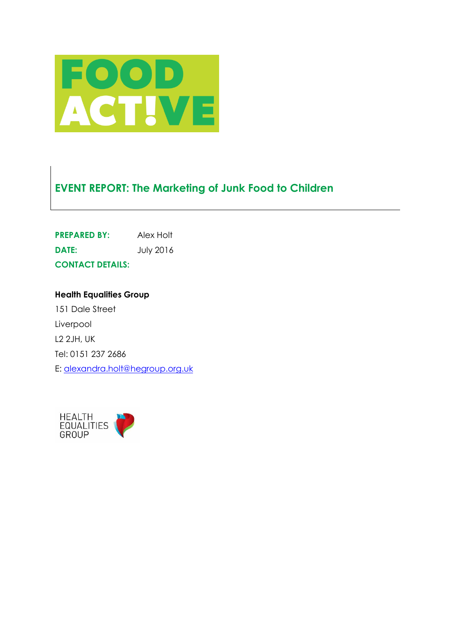

# **EVENT REPORT: The Marketing of Junk Food to Children**

| <b>PREPARED BY:</b>     | Alex Holt        |
|-------------------------|------------------|
| DATE:                   | <b>July 2016</b> |
| <b>CONTACT DETAILS:</b> |                  |

**Health Equalities Group** 151 Dale Street Liverpool L2 2JH, UK Tel: 0151 237 2686 E: [alexandra.holt@hegroup.org.uk](mailto:alexandra.holt@hegroup.org.uk)

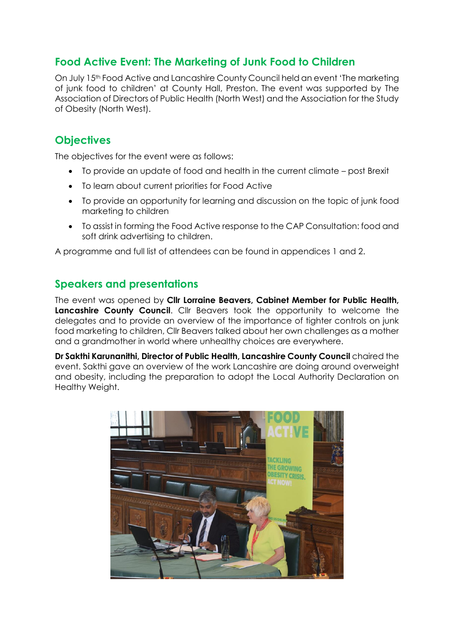## **Food Active Event: The Marketing of Junk Food to Children**

On July 15<sup>th</sup> Food Active and Lancashire County Council held an event 'The marketing of junk food to children' at County Hall, Preston. The event was supported by The Association of Directors of Public Health (North West) and the Association for the Study of Obesity (North West).

## **Objectives**

The objectives for the event were as follows:

- To provide an update of food and health in the current climate post Brexit
- To learn about current priorities for Food Active
- To provide an opportunity for learning and discussion on the topic of junk food marketing to children
- To assist in forming the Food Active response to the CAP Consultation: food and soft drink advertising to children.

A programme and full list of attendees can be found in appendices 1 and 2.

## **Speakers and presentations**

The event was opened by **Cllr Lorraine Beavers, Cabinet Member for Public Health, Lancashire County Council**. Cllr Beavers took the opportunity to welcome the delegates and to provide an overview of the importance of tighter controls on junk food marketing to children, Cllr Beavers talked about her own challenges as a mother and a grandmother in world where unhealthy choices are everywhere.

**Dr Sakthi Karunanithi, Director of Public Health, Lancashire County Council** chaired the event. Sakthi gave an overview of the work Lancashire are doing around overweight and obesity, including the preparation to adopt the Local Authority Declaration on Healthy Weight.

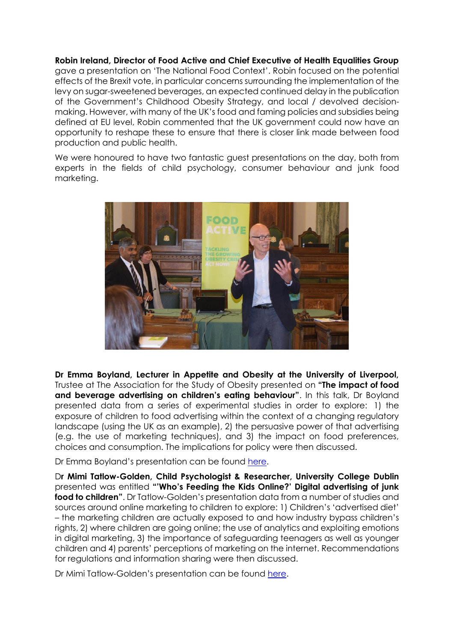**Robin Ireland, Director of Food Active and Chief Executive of Health Equalities Group** gave a presentation on 'The National Food Context'. Robin focused on the potential effects of the Brexit vote, in particular concerns surrounding the implementation of the levy on sugar-sweetened beverages, an expected continued delay in the publication of the Government's Childhood Obesity Strategy, and local / devolved decisionmaking. However, with many of the UK's food and faming policies and subsidies being defined at EU level, Robin commented that the UK government could now have an opportunity to reshape these to ensure that there is closer link made between food production and public health.

We were honoured to have two fantastic guest presentations on the day, both from experts in the fields of child psychology, consumer behaviour and junk food marketing.



**Dr Emma Boyland, Lecturer in Appetite and Obesity at the University of Liverpool,** Trustee at The Association for the Study of Obesity presented on **"The impact of food and beverage advertising on children's eating behaviour"**. In this talk, Dr Boyland presented data from a series of experimental studies in order to explore: 1) the exposure of children to food advertising within the context of a changing regulatory landscape (using the UK as an example), 2) the persuasive power of that advertising (e.g. the use of marketing techniques), and 3) the impact on food preferences, choices and consumption. The implications for policy were then discussed.

Dr Emma Boyland's presentation can be found [here.](http://www.foodactive.org.uk/wp-content/uploads/2016/07/Boyland_Food-ads-and-eating-behaviour_Preston-15-June-2016.pdf)

D**r Mimi Tatlow-Golden, Child Psychologist & Researcher, University College Dublin** presented was entitled **"'Who's Feeding the Kids Online?' Digital advertising of junk food to children"**. Dr Tatlow-Golden's presentation data from a number of studies and sources around online marketing to children to explore: 1) Children's 'advertised diet' – the marketing children are actually exposed to and how industry bypass children's rights, 2) where children are going online; the use of analytics and exploiting emotions in digital marketing, 3) the importance of safeguarding teenagers as well as younger children and 4) parents' perceptions of marketing on the internet. Recommendations for regulations and information sharing were then discussed.

Dr Mimi Tatlow-Golden's presentation can be found [here.](http://www.foodactive.org.uk/wp-content/uploads/2016/07/Tatlow-Goldon_Food-Active-Whos-Feeding-the-Kids-Online_Preston-15-June-2016.pdf)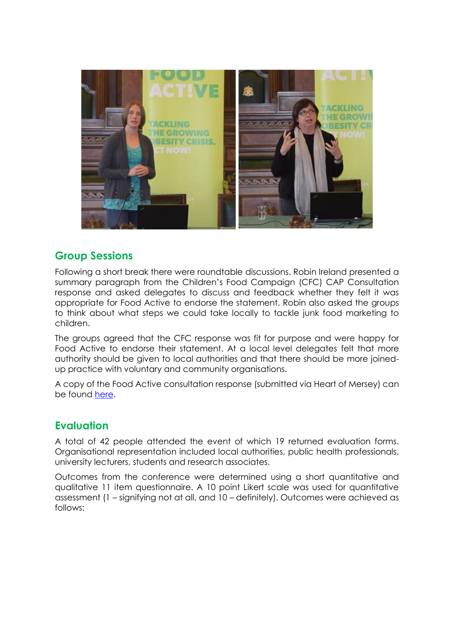

## **Group Sessions**

Following a short break there were roundtable discussions. Robin Ireland presented a summary paragraph from the Children's Food Campaign (CFC) CAP Consultation response and asked delegates to discuss and feedback whether they felt it was appropriate for Food Active to endorse the statement, Robin also asked the groups to think about what steps we could take locally to tackle junk food marketing to children.

The groups agreed that the CFC response was fit for purpose and were happy for Food Active to endorse their statement. At a local level delegates felt that more authority should be given to local authorities and that there should be more joinedup practice with voluntary and community organisations.

A copy of the Food Active consultation response (submitted via Heart of Mersey) can be found [here.](http://www.foodactive.org.uk/wp-content/uploads/2016/08/HoM_Consultation_CAP_July2016.pdf)

## **Evaluation**

A total of 42 people attended the event of which 19 returned evaluation forms. Organisational representation included local authorities, public health professionals, university lecturers, students and research associates.

Outcomes from the conference were determined using a short quantitative and qualitative 11 item questionnaire. A 10 point Likert scale was used for quantitative assessment (1 – signifying not at all, and 10 – definitely). Outcomes were achieved as follows: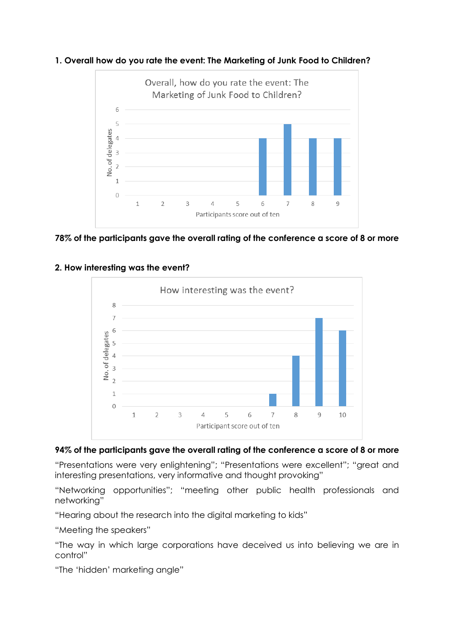



**78% of the participants gave the overall rating of the conference a score of 8 or more**



#### **2. How interesting was the event?**

#### **94% of the participants gave the overall rating of the conference a score of 8 or more**

"Presentations were very enlightening"; "Presentations were excellent"; "great and interesting presentations, very informative and thought provoking"

"Networking opportunities"; "meeting other public health professionals and networking"

"Hearing about the research into the digital marketing to kids"

"Meeting the speakers"

"The way in which large corporations have deceived us into believing we are in control"

"The 'hidden' marketing angle"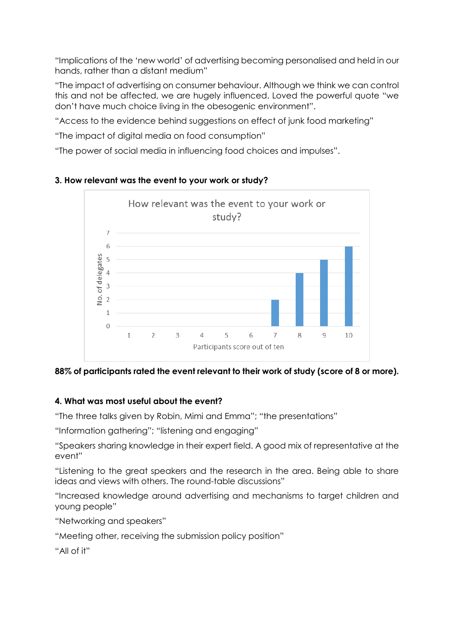"Implications of the 'new world' of advertising becoming personalised and held in our hands, rather than a distant medium"

"The impact of advertising on consumer behaviour. Although we think we can control this and not be affected, we are hugely influenced. Loved the powerful quote "we don't have much choice living in the obesogenic environment".

"Access to the evidence behind suggestions on effect of junk food marketing"

"The impact of digital media on food consumption"

"The power of social media in influencing food choices and impulses".



#### **3. How relevant was the event to your work or study?**

**88% of participants rated the event relevant to their work of study (score of 8 or more).**

#### **4. What was most useful about the event?**

"The three talks given by Robin, Mimi and Emma"; "the presentations"

"Information gathering"; "listening and engaging"

"Speakers sharing knowledge in their expert field. A good mix of representative at the event"

"Listening to the great speakers and the research in the area. Being able to share ideas and views with others. The round-table discussions"

"Increased knowledge around advertising and mechanisms to target children and young people"

"Networking and speakers"

"Meeting other, receiving the submission policy position"

"All of it"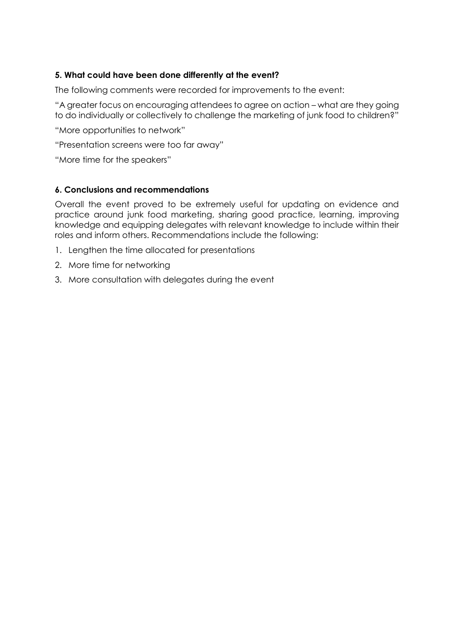#### **5. What could have been done differently at the event?**

The following comments were recorded for improvements to the event:

"A greater focus on encouraging attendees to agree on action – what are they going to do individually or collectively to challenge the marketing of junk food to children?"

"More opportunities to network"

"Presentation screens were too far away"

"More time for the speakers"

#### **6. Conclusions and recommendations**

Overall the event proved to be extremely useful for updating on evidence and practice around junk food marketing, sharing good practice, learning, improving knowledge and equipping delegates with relevant knowledge to include within their roles and inform others. Recommendations include the following:

- 1. Lengthen the time allocated for presentations
- 2. More time for networking
- 3. More consultation with delegates during the event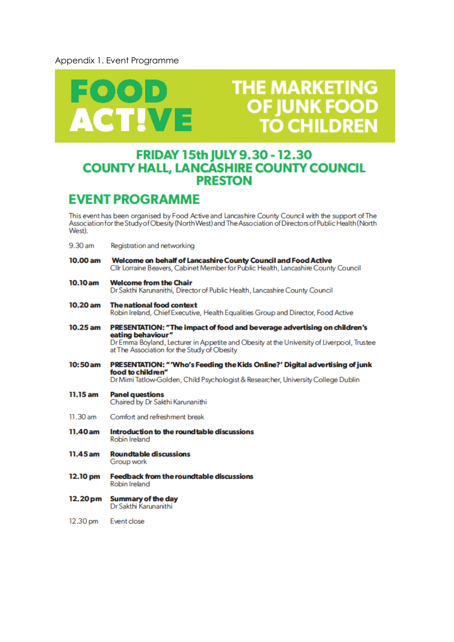#### Appendix 1. Event Programme



# **THE MARKETING OF IUNK FOO TO CHILDREN**

## **FRIDAY 15th JULY 9.30 - 12.30 COUNTY HALL, LANCASHIRE COUNTY COUNCIL PRESTON**

## **EVENT PROGRAMME**

This event has been organised by Food Active and Lancashire County Council with the support of The Association for the Study of Obesity (North West) and The Association of Directors of Public Health (North West).

- $9.30<sub>am</sub>$ Registration and networking
- 10.00 am Welcome on behalf of Lancashire County Council and Food Active Cllr Lorraine Beavers, Cabinet Member for Public Health, Lancashire County Council
- $10.10 am$ **Welcome from the Chair** Dr Sakthi Karunanithi, Director of Public Health, Lancashire County Council
- $10.20$  am **The national food context** Robin Ireland, Chief Executive, Health Equalities Group and Director, Food Active
- $10.25$  am PRESENTATION: "The impact of food and beverage advertising on children's eating behaviour" Dr Emma Boyland, Lecturer in Appetite and Obesity at the University of Liverpool, Trustee at The Association for the Study of Obesity
- $10:50$  am PRESENTATION: "Who's Feeding the Kids Online?' Digital advertising of junk food to children" Dr Mimi Tatlow-Golden, Child Psychologist & Researcher, University College Dublin
- 11.15 am **Panel questions** Chaired by Dr Sakthi Karunanithi
- 11.30 am Comfort and refreshment break
- 11.40 am Introduction to the roundtable discussions **Robin Ireland**
- **Roundtable discussions** 11.45 am Group work
- 12.10 pm **Feedback from the roundtable discussions** Robin Ireland
- **Summary of the day**  $12.20<sub>pm</sub>$ Dr Sakthi Karunanithi
- 12.30 pm Event close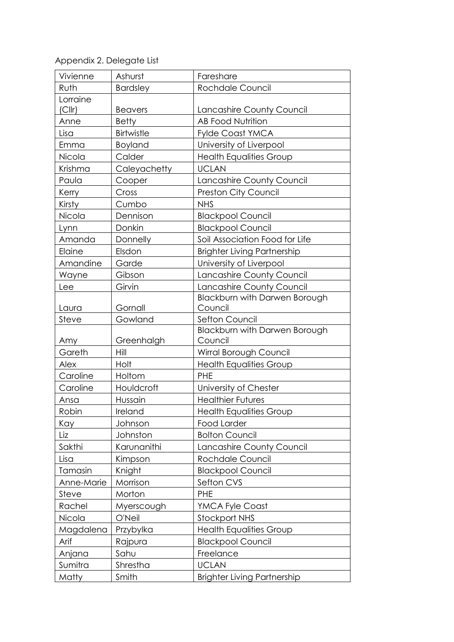Appendix 2. Delegate List

| Vivienne   | Ashurst         | Fareshare                          |
|------------|-----------------|------------------------------------|
| Ruth       | <b>Bardsley</b> | Rochdale Council                   |
| Lorraine   |                 |                                    |
| (Clrr)     | <b>Beavers</b>  | Lancashire County Council          |
| Anne       | <b>Betty</b>    | <b>AB Food Nutrition</b>           |
| Lisa       | Birtwistle      | <b>Fylde Coast YMCA</b>            |
| Emma       | Boyland         | University of Liverpool            |
| Nicola     | Calder          | <b>Health Equalities Group</b>     |
| Krishma    | Caleyachetty    | <b>UCLAN</b>                       |
| Paula      | Cooper          | Lancashire County Council          |
| Kerry      | Cross           | <b>Preston City Council</b>        |
| Kirsty     | Cumbo           | <b>NHS</b>                         |
| Nicola     | Dennison        | <b>Blackpool Council</b>           |
| Lynn       | Donkin          | <b>Blackpool Council</b>           |
| Amanda     | Donnelly        | Soil Association Food for Life     |
| Elaine     | Elsdon          | <b>Brighter Living Partnership</b> |
| Amandine   | Garde           | University of Liverpool            |
| Wayne      | Gibson          | Lancashire County Council          |
| Lee        | Girvin          | Lancashire County Council          |
|            |                 | Blackburn with Darwen Borough      |
| Laura      | Gornall         | Council                            |
| Steve      | Gowland         | Sefton Council                     |
|            |                 | Blackburn with Darwen Borough      |
| Amy        | Greenhalgh      | Council                            |
| Gareth     | Hill            | Wirral Borough Council             |
| Alex       | Holt            | <b>Health Equalities Group</b>     |
| Caroline   | Holtom          | <b>PHE</b>                         |
| Caroline   | Houldcroft      | University of Chester              |
| Ansa       | Hussain         | <b>Healthier Futures</b>           |
| Robin      | Ireland         | <b>Health Equalities Group</b>     |
| Kay        | Johnson         | <b>Food Larder</b>                 |
| Liz        | Johnston        | <b>Bolton Council</b>              |
| Sakthi     | Karunanithi     | Lancashire County Council          |
| Lisa       | Kimpson         | Rochdale Council                   |
| Tamasin    | Knight          | <b>Blackpool Council</b>           |
| Anne-Marie | Morrison        | Sefton CVS                         |
| Steve      | Morton          | <b>PHE</b>                         |
| Rachel     | Myerscough      | <b>YMCA Fyle Coast</b>             |
| Nicola     | O'Neil          | <b>Stockport NHS</b>               |
| Magdalena  | Przybylka       | <b>Health Equalities Group</b>     |
| Arif       | Rajpura         | <b>Blackpool Council</b>           |
| Anjana     | Sahu            | Freelance                          |
| Sumitra    | Shrestha        | <b>UCLAN</b>                       |
| Matty      | Smith           | <b>Brighter Living Partnership</b> |